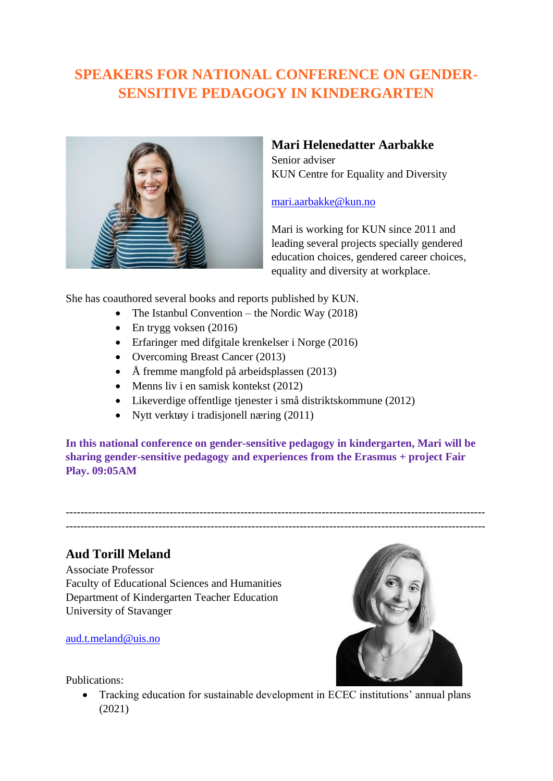# **SPEAKERS FOR NATIONAL CONFERENCE ON GENDER-SENSITIVE PEDAGOGY IN KINDERGARTEN**



# **Mari Helenedatter Aarbakke**

Senior adviser KUN Centre for Equality and Diversity

### [mari.aarbakke@kun.no](mailto:mari.aarbakke@kun.no)

Mari is working for KUN since 2011 and leading several projects specially gendered education choices, gendered career choices, equality and diversity at workplace.

She has coauthored several books and reports published by KUN.

- The Istanbul Convention the Nordic Way  $(2018)$
- En trygg voksen  $(2016)$
- Erfaringer med difgitale krenkelser i Norge (2016)
- Overcoming Breast Cancer (2013)
- Å fremme mangfold på arbeidsplassen (2013)
- Menns liv i en samisk kontekst (2012)
- Likeverdige offentlige tjenester i små distriktskommune (2012)
- Nytt verktøy i tradisjonell næring (2011)

**In this national conference on gender-sensitive pedagogy in kindergarten, Mari will be sharing gender-sensitive pedagogy and experiences from the Erasmus + project Fair Play. 09:05AM**

----------------------------------------------------------------------------------------------------------------- -----------------------------------------------------------------------------------------------------------------

# **Aud Torill Meland**

Associate Professor Faculty of Educational Sciences and Humanities Department of Kindergarten Teacher Education University of Stavanger

[aud.t.meland@uis.no](mailto:aud.t.meland@uis.no)

#### Publications:

• Tracking education for sustainable development in ECEC institutions' annual plans (2021)

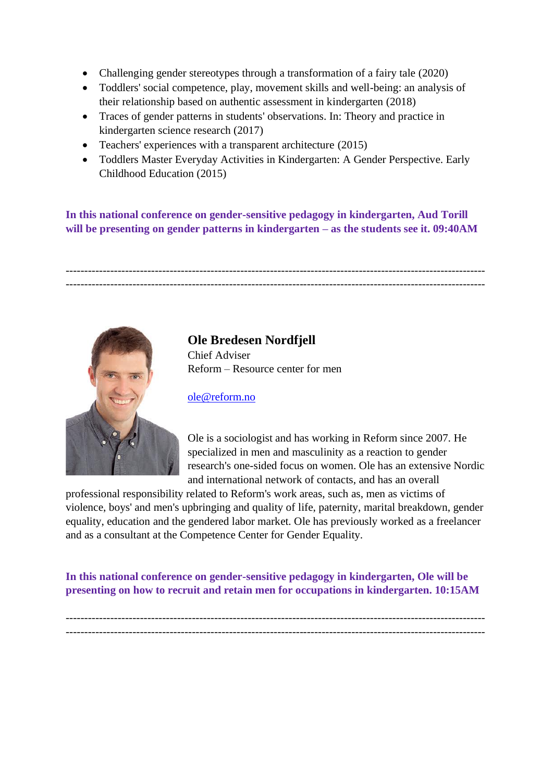- Challenging gender stereotypes through a transformation of a fairy tale (2020)
- Toddlers' social competence, play, movement skills and well-being: an analysis of their relationship based on authentic assessment in kindergarten (2018)
- Traces of gender patterns in students' observations. In: Theory and practice in kindergarten science research (2017)
- Teachers' experiences with a transparent architecture (2015)
- Toddlers Master Everyday Activities in Kindergarten: A Gender Perspective. Early Childhood Education (2015)

**In this national conference on gender-sensitive pedagogy in kindergarten, Aud Torill will be presenting on gender patterns in kindergarten – as the students see it. 09:40AM**

----------------------------------------------------------------------------------------------------------------- -----------------------------------------------------------------------------------------------------------------



### **Ole Bredesen Nordfjell** Chief Adviser Reform – Resource center for men

[ole@reform.no](mailto:ole@reform.no)

Ole is a sociologist and has working in Reform since 2007. He specialized in men and masculinity as a reaction to gender research's one-sided focus on women. Ole has an extensive Nordic and international network of contacts, and has an overall

professional responsibility related to Reform's work areas, such as, men as victims of violence, boys' and men's upbringing and quality of life, paternity, marital breakdown, gender equality, education and the gendered labor market. Ole has previously worked as a freelancer and as a consultant at the Competence Center for Gender Equality.

**In this national conference on gender-sensitive pedagogy in kindergarten, Ole will be presenting on how to recruit and retain men for occupations in kindergarten. 10:15AM**

----------------------------------------------------------------------------------------------------------------- -----------------------------------------------------------------------------------------------------------------